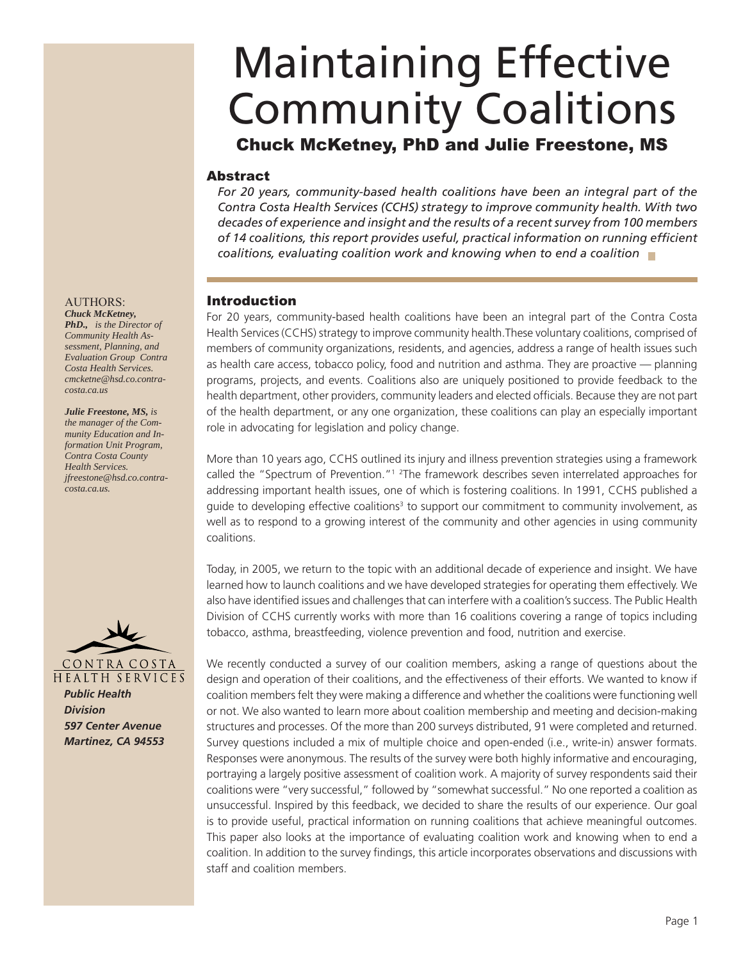# Maintaining Effective Community Coalitions

# Chuck McKetney, PhD and Julie Freestone, MS

# Abstract

*For 20 years, community-based health coalitions have been an integral part of the Contra Costa Health Services (CCHS) strategy to improve community health. With two decades of experience and insight and the results of a recent survey from 100 members*  of 14 coalitions, this report provides useful, practical information on running efficient *coalitions, evaluating coalition work and knowing when to end a coalition*

# Introduction

For 20 years, community-based health coalitions have been an integral part of the Contra Costa Health Services (CCHS) strategy to improve community health.These voluntary coalitions, comprised of members of community organizations, residents, and agencies, address a range of health issues such as health care access, tobacco policy, food and nutrition and asthma. They are proactive — planning programs, projects, and events. Coalitions also are uniquely positioned to provide feedback to the health department, other providers, community leaders and elected officials. Because they are not part of the health department, or any one organization, these coalitions can play an especially important role in advocating for legislation and policy change.

More than 10 years ago, CCHS outlined its injury and illness prevention strategies using a framework called the "Spectrum of Prevention."<sup>1</sup> <sup>2</sup>The framework describes seven interrelated approaches for addressing important health issues, one of which is fostering coalitions. In 1991, CCHS published a guide to developing effective coalitions<sup>3</sup> to support our commitment to community involvement, as well as to respond to a growing interest of the community and other agencies in using community coalitions.

Today, in 2005, we return to the topic with an additional decade of experience and insight. We have learned how to launch coalitions and we have developed strategies for operating them effectively. We also have identified issues and challenges that can interfere with a coalition's success. The Public Health Division of CCHS currently works with more than 16 coalitions covering a range of topics including tobacco, asthma, breastfeeding, violence prevention and food, nutrition and exercise.

We recently conducted a survey of our coalition members, asking a range of questions about the design and operation of their coalitions, and the effectiveness of their efforts. We wanted to know if coalition members felt they were making a difference and whether the coalitions were functioning well or not. We also wanted to learn more about coalition membership and meeting and decision-making structures and processes. Of the more than 200 surveys distributed, 91 were completed and returned. Survey questions included a mix of multiple choice and open-ended (i.e., write-in) answer formats. Responses were anonymous. The results of the survey were both highly informative and encouraging, portraying a largely positive assessment of coalition work. A majority of survey respondents said their coalitions were "very successful," followed by "somewhat successful." No one reported a coalition as unsuccessful. Inspired by this feedback, we decided to share the results of our experience. Our goal is to provide useful, practical information on running coalitions that achieve meaningful outcomes. This paper also looks at the importance of evaluating coalition work and knowing when to end a coalition. In addition to the survey findings, this article incorporates observations and discussions with staff and coalition members.

#### AUTHORS: *Chuck McKetney,*

*PhD., is the Director of Community Health Assessment, Planning, and Evaluation Group Contra Costa Health Services. cmcketne@hsd.co.contracosta.ca.us*

#### *Julie Freestone, MS, is the manager of the Community Education and In-*

*formation Unit Program, Contra Costa County Health Services. jfreestone@hsd.co.contracosta.ca.us.*



*Public Health Division 597 Center Avenue Martinez, CA 94553*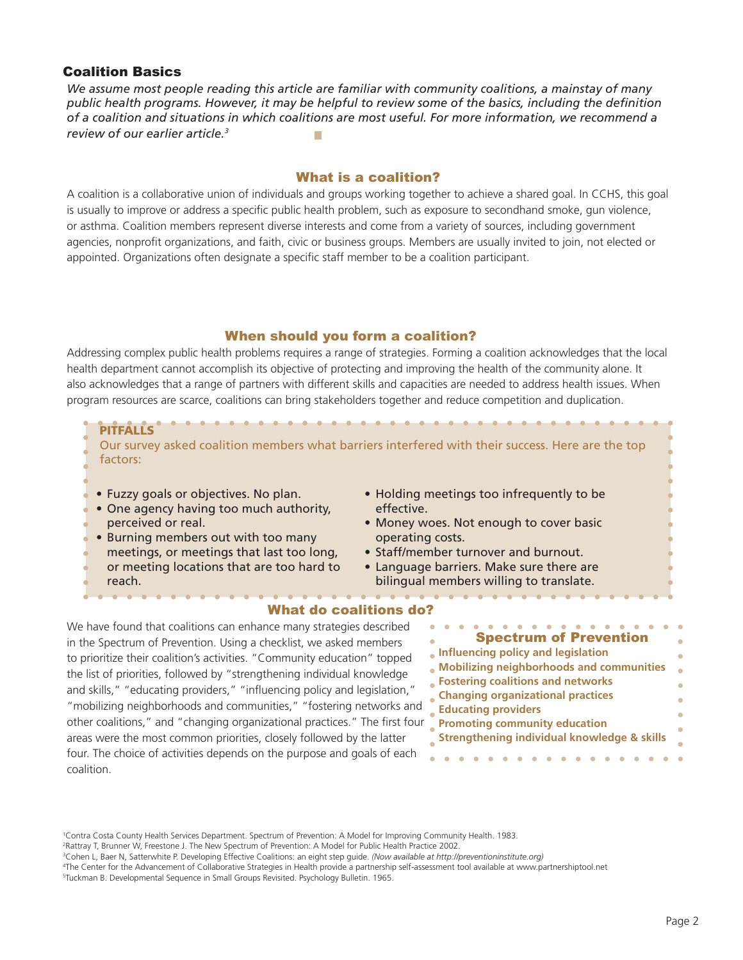## Coalition Basics

*We assume most people reading this article are familiar with community coalitions, a mainstay of many*  public health programs. However, it may be helpful to review some of the basics, including the definition *of a coalition and situations in which coalitions are most useful. For more information, we recommend a review of our earlier article.3*

### What is a coalition?

A coalition is a collaborative union of individuals and groups working together to achieve a shared goal. In CCHS, this goal is usually to improve or address a specific public health problem, such as exposure to secondhand smoke, gun violence, or asthma. Coalition members represent diverse interests and come from a variety of sources, including government agencies, nonprofit organizations, and faith, civic or business groups. Members are usually invited to join, not elected or appointed. Organizations often designate a specific staff member to be a coalition participant.

## When should you form a coalition?

Addressing complex public health problems requires a range of strategies. Forming a coalition acknowledges that the local health department cannot accomplish its objective of protecting and improving the health of the community alone. It also acknowledges that a range of partners with different skills and capacities are needed to address health issues. When program resources are scarce, coalitions can bring stakeholders together and reduce competition and duplication.

**PITFALLS**

Our survey asked coalition members what barriers interfered with their success. Here are the top factors:

- Fuzzy goals or objectives. No plan.
- One agency having too much authority,
- perceived or real.
- Burning members out with too many
- meetings, or meetings that last too long,
- or meeting locations that are too hard to reach.
- 
- Holding meetings too infrequently to be effective.
- Money woes. Not enough to cover basic operating costs.
- Staff/member turnover and burnout.
- Language barriers. Make sure there are bilingual members willing to translate.

# What do coalitions do?

We have found that coalitions can enhance many strategies described in the Spectrum of Prevention. Using a checklist, we asked members to prioritize their coalition's activities. "Community education" topped the list of priorities, followed by "strengthening individual knowledge and skills," "educating providers," "influencing policy and legislation," "mobilizing neighborhoods and communities," "fostering networks and other coalitions," and "changing organizational practices." The first four areas were the most common priorities, closely followed by the latter four. The choice of activities depends on the purpose and goals of each coalition.

| <b>Spectrum of Prevention</b>                          |  |
|--------------------------------------------------------|--|
| Influencing policy and legislation                     |  |
| <b>Mobilizing neighborhoods and communities</b>        |  |
| <b>Fostering coalitions and networks</b>               |  |
| <b>Changing organizational practices</b>               |  |
| <b>Educating providers</b>                             |  |
| <b>Promoting community education</b>                   |  |
| <b>Strengthening individual knowledge &amp; skills</b> |  |
|                                                        |  |

1 Contra Costa County Health Services Department. Spectrum of Prevention: A Model for Improving Community Health. 1983.

2 Rattray T, Brunner W, Freestone J. The New Spectrum of Prevention: A Model for Public Health Practice 2002.

3 Cohen L, Baer N, Satterwhite P. Developing Effective Coalitions: an eight step guide. *(Now available at http://preventioninstitute.org)*

<sup>4</sup> The Center for the Advancement of Collaborative Strategies in Health provide a partnership self-assessment tool available at www.partnershiptool.net 5 Tuckman B. Developmental Sequence in Small Groups Revisited. Psychology Bulletin. 1965.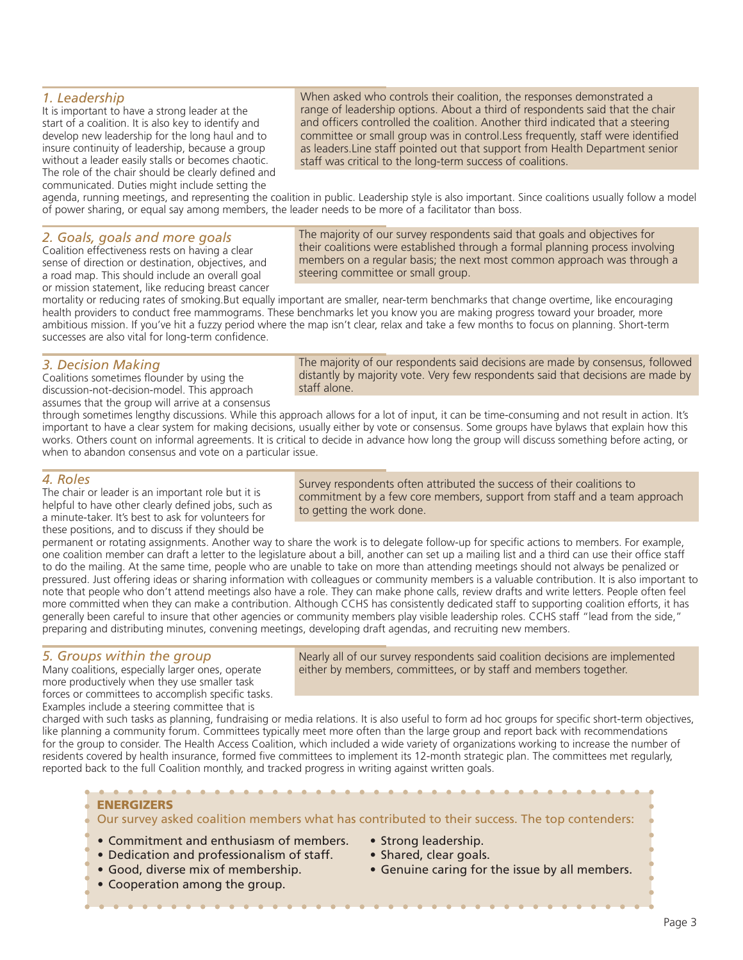#### *1. Leadership*

It is important to have a strong leader at the start of a coalition. It is also key to identify and develop new leadership for the long haul and to insure continuity of leadership, because a group without a leader easily stalls or becomes chaotic. The role of the chair should be clearly defined and communicated. Duties might include setting the

When asked who controls their coalition, the responses demonstrated a range of leadership options. About a third of respondents said that the chair and officers controlled the coalition. Another third indicated that a steering committee or small group was in control.Less frequently, staff were identified as leaders.Line staff pointed out that support from Health Department senior staff was critical to the long-term success of coalitions.

agenda, running meetings, and representing the coalition in public. Leadership style is also important. Since coalitions usually follow a model of power sharing, or equal say among members, the leader needs to be more of a facilitator than boss.

#### *2. Goals, goals and more goals*

Coalition effectiveness rests on having a clear sense of direction or destination, objectives, and a road map. This should include an overall goal or mission statement, like reducing breast cancer The majority of our survey respondents said that goals and objectives for their coalitions were established through a formal planning process involving members on a regular basis; the next most common approach was through a steering committee or small group.

mortality or reducing rates of smoking.But equally important are smaller, near-term benchmarks that change overtime, like encouraging health providers to conduct free mammograms. These benchmarks let you know you are making progress toward your broader, more ambitious mission. If you've hit a fuzzy period where the map isn't clear, relax and take a few months to focus on planning. Short-term successes are also vital for long-term confidence.

#### *3. Decision Making*

Coalitions sometimes flounder by using the discussion-not-decision-model. This approach assumes that the group will arrive at a consensus The majority of our respondents said decisions are made by consensus, followed distantly by majority vote. Very few respondents said that decisions are made by staff alone.

through sometimes lengthy discussions. While this approach allows for a lot of input, it can be time-consuming and not result in action. It's important to have a clear system for making decisions, usually either by vote or consensus. Some groups have bylaws that explain how this works. Others count on informal agreements. It is critical to decide in advance how long the group will discuss something before acting, or when to abandon consensus and vote on a particular issue.

#### *4. Roles*

The chair or leader is an important role but it is helpful to have other clearly defined jobs, such as a minute-taker. It's best to ask for volunteers for these positions, and to discuss if they should be

Survey respondents often attributed the success of their coalitions to commitment by a few core members, support from staff and a team approach to getting the work done.

permanent or rotating assignments. Another way to share the work is to delegate follow-up for specific actions to members. For example, one coalition member can draft a letter to the legislature about a bill, another can set up a mailing list and a third can use their office staff to do the mailing. At the same time, people who are unable to take on more than attending meetings should not always be penalized or pressured. Just offering ideas or sharing information with colleagues or community members is a valuable contribution. It is also important to note that people who don't attend meetings also have a role. They can make phone calls, review drafts and write letters. People often feel more committed when they can make a contribution. Although CCHS has consistently dedicated staff to supporting coalition efforts, it has generally been careful to insure that other agencies or community members play visible leadership roles. CCHS staff "lead from the side," preparing and distributing minutes, convening meetings, developing draft agendas, and recruiting new members.

#### *5. Groups within the group*

Many coalitions, especially larger ones, operate more productively when they use smaller task forces or committees to accomplish specific tasks. Examples include a steering committee that is

Nearly all of our survey respondents said coalition decisions are implemented either by members, committees, or by staff and members together.

charged with such tasks as planning, fundraising or media relations. It is also useful to form ad hoc groups for specific short-term objectives, like planning a community forum. Committees typically meet more often than the large group and report back with recommendations for the group to consider. The Health Access Coalition, which included a wide variety of organizations working to increase the number of residents covered by health insurance, formed five committees to implement its 12-month strategic plan. The committees met regularly, reported back to the full Coalition monthly, and tracked progress in writing against written goals.

#### **ENERGIZERS**

Our survey asked coalition members what has contributed to their success. The top contenders:

- Commitment and enthusiasm of members.
- Dedication and professionalism of staff.
- Good, diverse mix of membership.
- Cooperation among the group.
- Strong leadership.
- Shared, clear goals.
- Genuine caring for the issue by all members.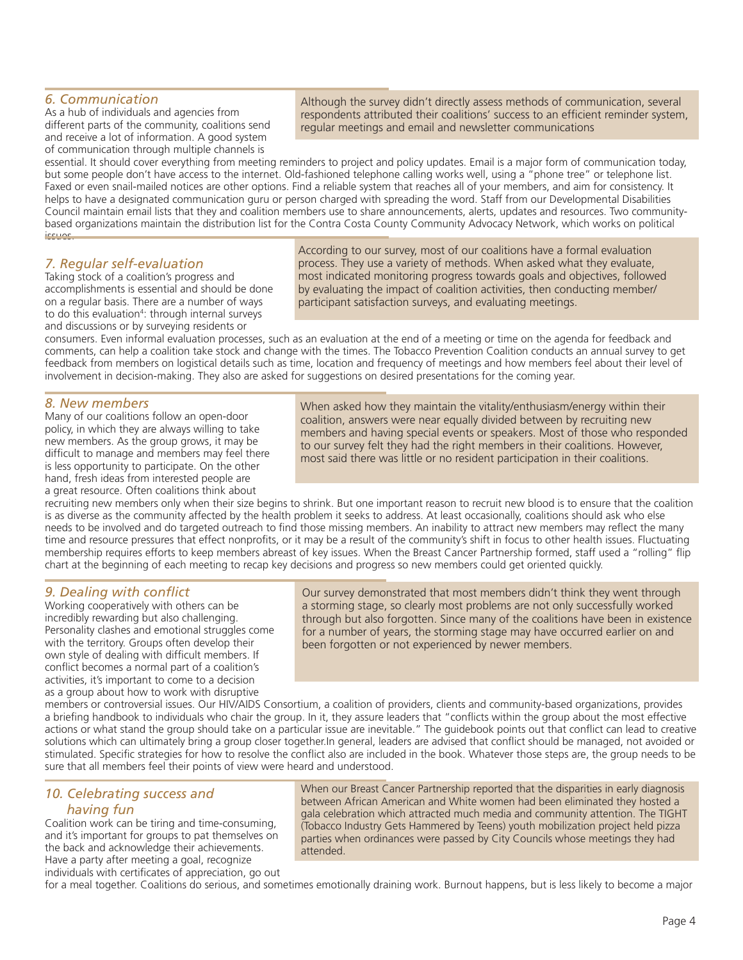### *6. Communication*

As a hub of individuals and agencies from different parts of the community, coalitions send and receive a lot of information. A good system of communication through multiple channels is

Although the survey didn't directly assess methods of communication, several respondents attributed their coalitions' success to an efficient reminder system, regular meetings and email and newsletter communications

essential. It should cover everything from meeting reminders to project and policy updates. Email is a major form of communication today, but some people don't have access to the internet. Old-fashioned telephone calling works well, using a "phone tree" or telephone list. Faxed or even snail-mailed notices are other options. Find a reliable system that reaches all of your members, and aim for consistency. It helps to have a designated communication guru or person charged with spreading the word. Staff from our Developmental Disabilities Council maintain email lists that they and coalition members use to share announcements, alerts, updates and resources. Two communitybased organizations maintain the distribution list for the Contra Costa County Community Advocacy Network, which works on political issues.

# *7. Regular self-evaluation*

Taking stock of a coalition's progress and accomplishments is essential and should be done on a regular basis. There are a number of ways to do this evaluation<sup>4</sup>: through internal surveys and discussions or by surveying residents or

According to our survey, most of our coalitions have a formal evaluation process. They use a variety of methods. When asked what they evaluate, most indicated monitoring progress towards goals and objectives, followed by evaluating the impact of coalition activities, then conducting member/ participant satisfaction surveys, and evaluating meetings.

consumers. Even informal evaluation processes, such as an evaluation at the end of a meeting or time on the agenda for feedback and comments, can help a coalition take stock and change with the times. The Tobacco Prevention Coalition conducts an annual survey to get feedback from members on logistical details such as time, location and frequency of meetings and how members feel about their level of involvement in decision-making. They also are asked for suggestions on desired presentations for the coming year.

#### *8. New members*

Many of our coalitions follow an open-door policy, in which they are always willing to take new members. As the group grows, it may be difficult to manage and members may feel there is less opportunity to participate. On the other hand, fresh ideas from interested people are a great resource. Often coalitions think about

When asked how they maintain the vitality/enthusiasm/energy within their coalition, answers were near equally divided between by recruiting new members and having special events or speakers. Most of those who responded to our survey felt they had the right members in their coalitions. However, most said there was little or no resident participation in their coalitions.

recruiting new members only when their size begins to shrink. But one important reason to recruit new blood is to ensure that the coalition is as diverse as the community affected by the health problem it seeks to address. At least occasionally, coalitions should ask who else needs to be involved and do targeted outreach to find those missing members. An inability to attract new members may reflect the many time and resource pressures that effect nonprofits, or it may be a result of the community's shift in focus to other health issues. Fluctuating membership requires efforts to keep members abreast of key issues. When the Breast Cancer Partnership formed, staff used a "rolling" flip chart at the beginning of each meeting to recap key decisions and progress so new members could get oriented quickly.

#### **9. Dealing with conflict**

Working cooperatively with others can be incredibly rewarding but also challenging. Personality clashes and emotional struggles come with the territory. Groups often develop their own style of dealing with difficult members. If conflict becomes a normal part of a coalition's activities, it's important to come to a decision as a group about how to work with disruptive

Our survey demonstrated that most members didn't think they went through a storming stage, so clearly most problems are not only successfully worked through but also forgotten. Since many of the coalitions have been in existence for a number of years, the storming stage may have occurred earlier on and been forgotten or not experienced by newer members.

members or controversial issues. Our HIV/AIDS Consortium, a coalition of providers, clients and community-based organizations, provides a briefing handbook to individuals who chair the group. In it, they assure leaders that "conflicts within the group about the most effective actions or what stand the group should take on a particular issue are inevitable." The guidebook points out that conflict can lead to creative solutions which can ultimately bring a group closer together. In general, leaders are advised that conflict should be managed, not avoided or stimulated. Specific strategies for how to resolve the conflict also are included in the book. Whatever those steps are, the group needs to be sure that all members feel their points of view were heard and understood.

#### *10. Celebrating success and having fun*

Coalition work can be tiring and time-consuming, and it's important for groups to pat themselves on the back and acknowledge their achievements. Have a party after meeting a goal, recognize

individuals with certificates of appreciation, go out

When our Breast Cancer Partnership reported that the disparities in early diagnosis between African American and White women had been eliminated they hosted a gala celebration which attracted much media and community attention. The TIGHT (Tobacco Industry Gets Hammered by Teens) youth mobilization project held pizza parties when ordinances were passed by City Councils whose meetings they had attended.

for a meal together. Coalitions do serious, and sometimes emotionally draining work. Burnout happens, but is less likely to become a major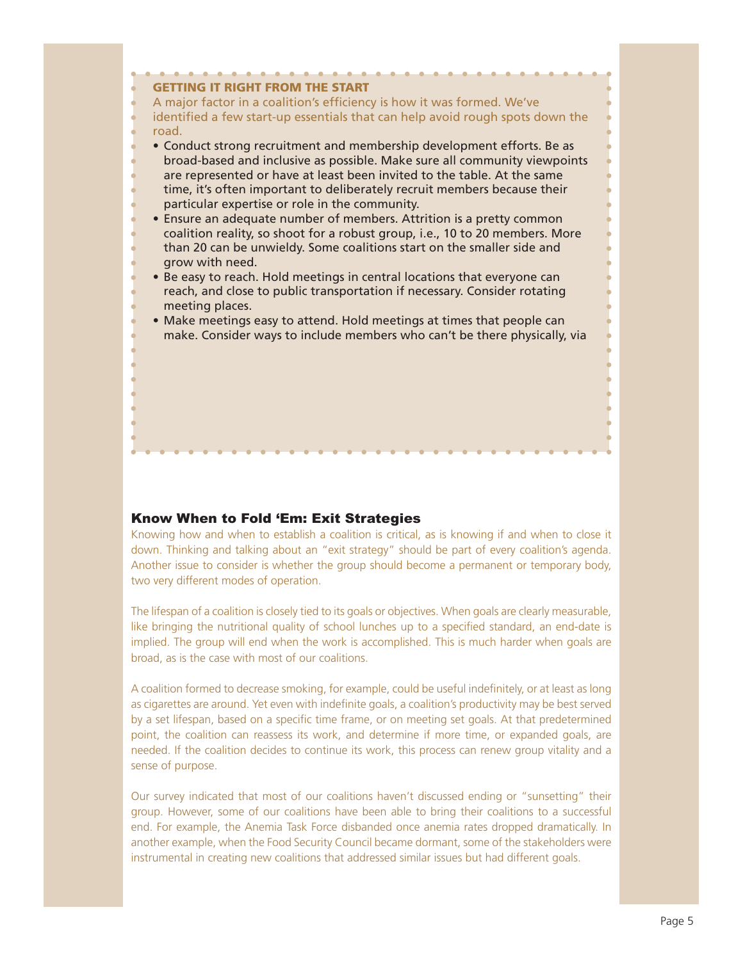

#### Know When to Fold 'Em: Exit Strategies

Knowing how and when to establish a coalition is critical, as is knowing if and when to close it down. Thinking and talking about an "exit strategy" should be part of every coalition's agenda. Another issue to consider is whether the group should become a permanent or temporary body, two very different modes of operation.

The lifespan of a coalition is closely tied to its goals or objectives. When goals are clearly measurable, like bringing the nutritional quality of school lunches up to a specified standard, an end-date is implied. The group will end when the work is accomplished. This is much harder when goals are broad, as is the case with most of our coalitions.

A coalition formed to decrease smoking, for example, could be useful indefinitely, or at least as long as cigarettes are around. Yet even with indefinite goals, a coalition's productivity may be best served by a set lifespan, based on a specific time frame, or on meeting set goals. At that predetermined point, the coalition can reassess its work, and determine if more time, or expanded goals, are needed. If the coalition decides to continue its work, this process can renew group vitality and a sense of purpose.

Our survey indicated that most of our coalitions haven't discussed ending or "sunsetting" their group. However, some of our coalitions have been able to bring their coalitions to a successful end. For example, the Anemia Task Force disbanded once anemia rates dropped dramatically. In another example, when the Food Security Council became dormant, some of the stakeholders were instrumental in creating new coalitions that addressed similar issues but had different goals.